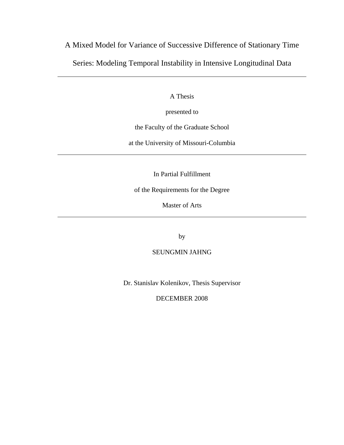# A Mixed Model for Variance of Successive Difference of Stationary Time Series: Modeling Temporal Instability in Intensive Longitudinal Data

A Thesis

presented to

the Faculty of the Graduate School

at the University of Missouri-Columbia

In Partial Fulfillment

of the Requirements for the Degree

Master of Arts

by

# SEUNGMIN JAHNG

Dr. Stanislav Kolenikov, Thesis Supervisor

DECEMBER 2008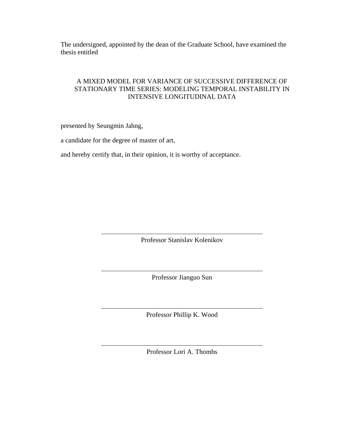The undersigned, appointed by the dean of the Graduate School, have examined the thesis entitled

# A MIXED MODEL FOR VARIANCE OF SUCCESSIVE DIFFERENCE OF STATIONARY TIME SERIES: MODELING TEMPORAL INSTABILITY IN INTENSIVE LONGITUDINAL DATA

presented by Seungmin Jahng,

a candidate for the degree of master of art,

and hereby certify that, in their opinion, it is worthy of acceptance.

Professor Stanislav Kolenikov

Professor Jianguo Sun

Professor Phillip K. Wood

Professor Lori A. Thombs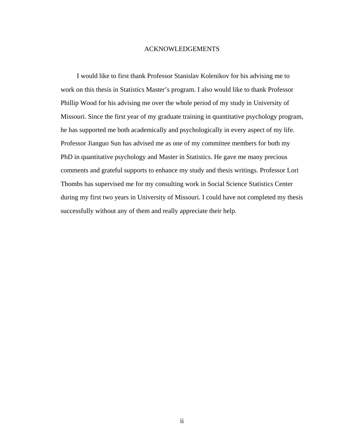#### ACKNOWLEDGEMENTS

I would like to first thank Professor Stanislav Kolenikov for his advising me to work on this thesis in Statistics Master's program. I also would like to thank Professor Phillip Wood for his advising me over the whole period of my study in University of Missouri. Since the first year of my graduate training in quantitative psychology program, he has supported me both academically and psychologically in every aspect of my life. Professor Jianguo Sun has advised me as one of my committee members for both my PhD in quantitative psychology and Master in Statistics. He gave me many precious comments and grateful supports to enhance my study and thesis writings. Professor Lori Thombs has supervised me for my consulting work in Social Science Statistics Center during my first two years in University of Missouri. I could have not completed my thesis successfully without any of them and really appreciate their help.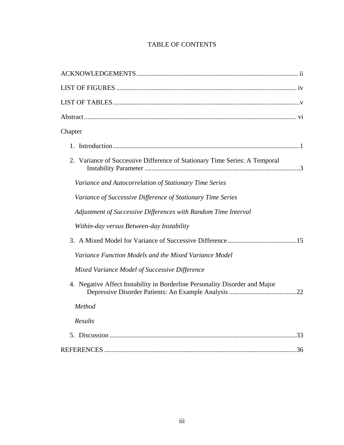# TABLE OF CONTENTS

| Chapter                                                                     |
|-----------------------------------------------------------------------------|
|                                                                             |
| 2. Variance of Successive Difference of Stationary Time Series: A Temporal  |
| Variance and Autocorrelation of Stationary Time Series                      |
| Variance of Successive Difference of Stationary Time Series                 |
| Adjustment of Successive Differences with Random Time Interval              |
| Within-day versus Between-day Instability                                   |
|                                                                             |
| Variance Function Models and the Mixed Variance Model                       |
| Mixed Variance Model of Successive Difference                               |
| 4. Negative Affect Instability in Borderline Personality Disorder and Major |
| Method                                                                      |
| Results                                                                     |
|                                                                             |
|                                                                             |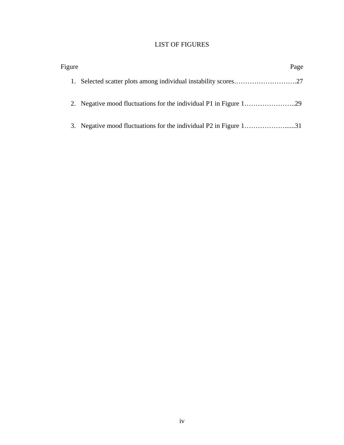# LIST OF FIGURES

| Figure |                                                                   | Page |
|--------|-------------------------------------------------------------------|------|
|        |                                                                   |      |
|        |                                                                   |      |
|        | 3. Negative mood fluctuations for the individual P2 in Figure 131 |      |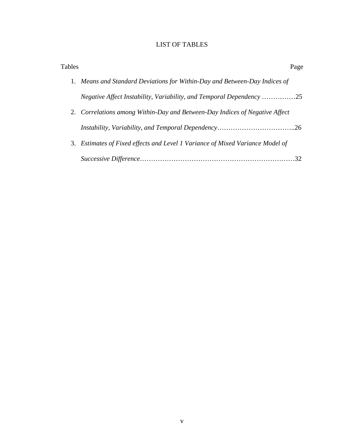# LIST OF TABLES

| Tables |                                                                               | Page |
|--------|-------------------------------------------------------------------------------|------|
|        | 1. Means and Standard Deviations for Within-Day and Between-Day Indices of    |      |
|        | Negative Affect Instability, Variability, and Temporal Dependency 25          |      |
|        | 2. Correlations among Within-Day and Between-Day Indices of Negative Affect   |      |
|        |                                                                               |      |
|        | 3. Estimates of Fixed effects and Level 1 Variance of Mixed Variance Model of |      |
|        |                                                                               |      |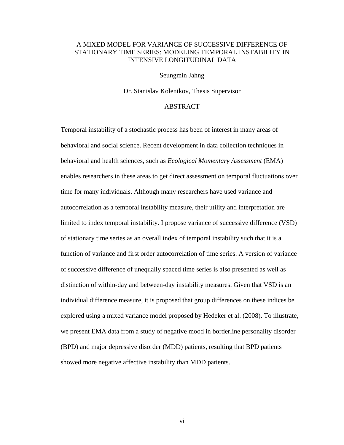# A MIXED MODEL FOR VARIANCE OF SUCCESSIVE DIFFERENCE OF STATIONARY TIME SERIES: MODELING TEMPORAL INSTABILITY IN INTENSIVE LONGITUDINAL DATA

#### Seungmin Jahng

Dr. Stanislav Kolenikov, Thesis Supervisor

# ABSTRACT

Temporal instability of a stochastic process has been of interest in many areas of behavioral and social science. Recent development in data collection techniques in behavioral and health sciences, such as *Ecological Momentary Assessment* (EMA) enables researchers in these areas to get direct assessment on temporal fluctuations over time for many individuals. Although many researchers have used variance and autocorrelation as a temporal instability measure, their utility and interpretation are limited to index temporal instability. I propose variance of successive difference (VSD) of stationary time series as an overall index of temporal instability such that it is a function of variance and first order autocorrelation of time series. A version of variance of successive difference of unequally spaced time series is also presented as well as distinction of within-day and between-day instability measures. Given that VSD is an individual difference measure, it is proposed that group differences on these indices be explored using a mixed variance model proposed by Hedeker et al. (2008). To illustrate, we present EMA data from a study of negative mood in borderline personality disorder (BPD) and major depressive disorder (MDD) patients, resulting that BPD patients showed more negative affective instability than MDD patients.

vi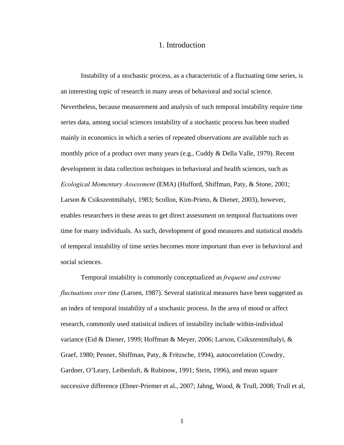# 1. Introduction

Instability of a stochastic process, as a characteristic of a fluctuating time series, is an interesting topic of research in many areas of behavioral and social science. Nevertheless, because measurement and analysis of such temporal instability require time series data, among social sciences instability of a stochastic process has been studied mainly in economics in which a series of repeated observations are available such as monthly price of a product over many years (e.g., Cuddy  $&$  Della Valle, 1979). Recent development in data collection techniques in behavioral and health sciences, such as *Ecological Momentary Assessment* (EMA) (Hufford, Shiffman, Paty, & Stone, 2001; Larson & Csikszentmihalyi, 1983; Scollon, Kim-Prieto, & Diener, 2003), however, enables researchers in these areas to get direct assessment on temporal fluctuations over time for many individuals. As such, development of good measures and statistical models of temporal instability of time series becomes more important than ever in behavioral and social sciences.

Temporal instability is commonly conceptualized as *frequent and extreme fluctuations over time* (Larsen, 1987). Several statistical measures have been suggested as an index of temporal instability of a stochastic process. In the area of mood or affect research, commonly used statistical indices of instability include within-individual variance (Eid & Diener, 1999; Hoffman & Meyer, 2006; Larson, Csikszentmihalyi, & Graef, 1980; Penner, Shiffman, Paty, & Fritzsche, 1994), autocorrelation (Cowdry, Gardner, O'Leary, Leibenluft, & Rubinow, 1991; Stein, 1996), and mean square successive difference (Ebner-Priemer et al., 2007; Jahng, Wood, & Trull, 2008; Trull et al,

1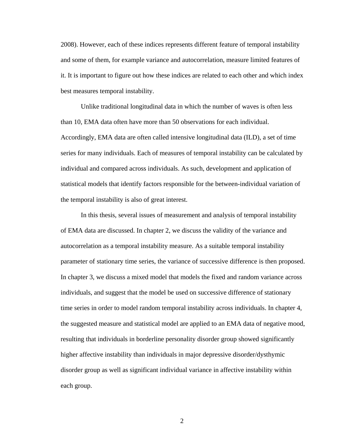2008). However, each of these indices represents different feature of temporal instability and some of them, for example variance and autocorrelation, measure limited features of it. It is important to figure out how these indices are related to each other and which index best measures temporal instability.

Unlike traditional longitudinal data in which the number of waves is often less than 10, EMA data often have more than 50 observations for each individual. Accordingly, EMA data are often called intensive longitudinal data (ILD), a set of time series for many individuals. Each of measures of temporal instability can be calculated by individual and compared across individuals. As such, development and application of statistical models that identify factors responsible for the between-individual variation of the temporal instability is also of great interest.

In this thesis, several issues of measurement and analysis of temporal instability of EMA data are discussed. In chapter 2, we discuss the validity of the variance and autocorrelation as a temporal instability measure. As a suitable temporal instability parameter of stationary time series, the variance of successive difference is then proposed. In chapter 3, we discuss a mixed model that models the fixed and random variance across individuals, and suggest that the model be used on successive difference of stationary time series in order to model random temporal instability across individuals. In chapter 4, the suggested measure and statistical model are applied to an EMA data of negative mood, resulting that individuals in borderline personality disorder group showed significantly higher affective instability than individuals in major depressive disorder/dysthymic disorder group as well as significant individual variance in affective instability within each group.

2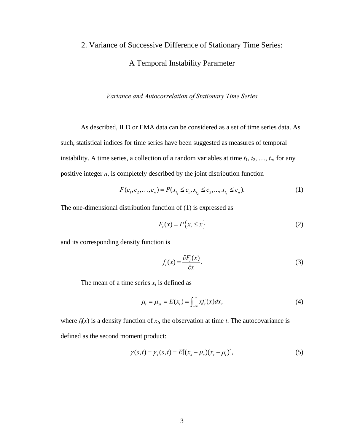# 2. Variance of Successive Difference of Stationary Time Series: A Temporal Instability Parameter

*Variance and Autocorrelation of Stationary Time Series* 

As described, ILD or EMA data can be considered as a set of time series data. As such, statistical indices for time series have been suggested as measures of temporal instability. A time series, a collection of *n* random variables at time  $t_1, t_2, ..., t_n$ , for any positive integer *n*, is completely described by the joint distribution function

$$
F(c_1, c_2, \dots, c_n) = P(x_{t_1} \le c_1, x_{t_2} \le c_2, \dots, x_{t_n} \le c_n).
$$
\n(1)

<span id="page-9-0"></span>The one-dimensional distribution function of [\(1\)](#page-9-0) is expressed as

$$
F_t(x) = P\{x_t \le x\}
$$
 (2)

and its corresponding density function is

$$
f_t(x) = \frac{\partial F_t(x)}{\partial x}.
$$
 (3)

The mean of a time series  $x_t$  is defined as

$$
\mu_t = \mu_{xt} = E(x_t) = \int_{-\infty}^{\infty} x f_t(x) dx,
$$
\n(4)

<span id="page-9-2"></span><span id="page-9-1"></span>where  $f_t(x)$  is a density function of  $x_t$ , the observation at time *t*. The autocovariance is defined as the second moment product:

$$
\gamma(s,t) = \gamma_x(s,t) = E[(x_s - \mu_s)(x_t - \mu_t)],\tag{5}
$$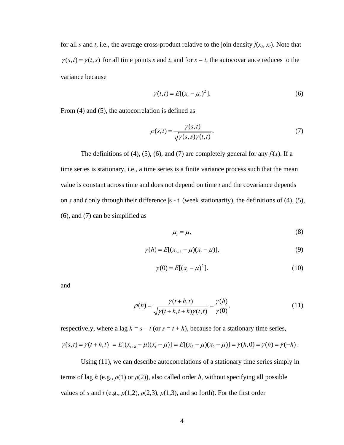for all *s* and *t*, i.e., the average cross-product relative to the join density  $f(x_s, x_t)$ . Note that  $\gamma(s,t) = \gamma(t,s)$  for all time points *s* and *t*, and for  $s = t$ , the autocovariance reduces to the variance because

$$
\gamma(t,t) = E[(x_t - \mu_t)^2].
$$
 (6)

<span id="page-10-1"></span><span id="page-10-0"></span>From [\(4\)](#page-9-1) and [\(5\)](#page-9-2), the autocorrelation is defined as

$$
\rho(s,t) = \frac{\gamma(s,t)}{\sqrt{\gamma(s,s)\gamma(t,t)}}.
$$
\n(7)

The definitions of [\(4\)](#page-9-1), [\(5\)](#page-9-2), [\(6\),](#page-10-0) and [\(7\)](#page-10-1) are completely general for any  $f_i(x)$ . If a time series is stationary, i.e., a time series is a finite variance process such that the mean value is constant across time and does not depend on time *t* and the covariance depends on *s* and *t* only through their difference |s - t| (week stationarity), the definitions of [\(4\),](#page-9-1) [\(5\),](#page-9-2) [\(6\)](#page-10-0), and [\(7\)](#page-10-1) can be simplified as

$$
\mu_t = \mu,\tag{8}
$$

$$
\gamma(h) = E[(x_{t+h} - \mu)(x_t - \mu)],
$$
\n(9)

$$
\gamma(0) = E[(x_t - \mu)^2].
$$
 (10)

<span id="page-10-4"></span><span id="page-10-3"></span><span id="page-10-2"></span>and

$$
\rho(h) = \frac{\gamma(t+h,t)}{\sqrt{\gamma(t+h,t+h)\gamma(t,t)}} = \frac{\gamma(h)}{\gamma(0)},
$$
\n(11)

respectively, where a lag  $h = s - t$  (or  $s = t + h$ ), because for a stationary time series,  $\gamma(s,t) = \gamma(t+h,t) = E[(x_{t+h} - \mu)(x_t - \mu)] = E[(x_h - \mu)(x_0 - \mu)] = \gamma(h,0) = \gamma(h) = \gamma(-h).$ 

Using [\(11\),](#page-10-2) we can describe autocorrelations of a stationary time series simply in terms of lag *h* (e.g.,  $\rho(1)$  or  $\rho(2)$ ), also called order *h*, without specifying all possible values of *s* and *t* (e.g.,  $\rho(1,2)$ ,  $\rho(2,3)$ ,  $\rho(1,3)$ , and so forth). For the first order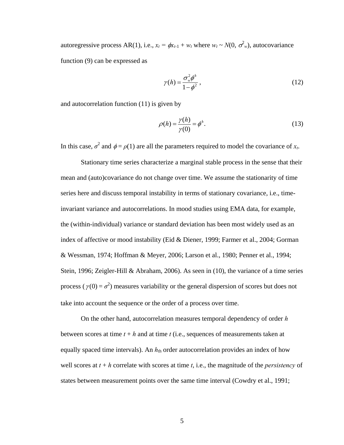autoregressive process AR(1), i.e.,  $x_t = \phi x_{t-1} + w_t$  where  $w_t \sim N(0, \sigma_w^2)$ , autocovariance function [\(9\)](#page-10-3) can be expressed as

$$
\gamma(h) = \frac{\sigma_w^2 \phi^h}{1 - \phi^2},\tag{12}
$$

<span id="page-11-0"></span>and autocorrelation function [\(11\)](#page-10-2) is given by

$$
\rho(h) = \frac{\gamma(h)}{\gamma(0)} = \phi^h.
$$
\n(13)

In this case,  $\sigma^2$  and  $\phi = \rho(1)$  are all the parameters required to model the covariance of  $x_t$ .

Stationary time series characterize a marginal stable process in the sense that their mean and (auto)covariance do not change over time. We assume the stationarity of time series here and discuss temporal instability in terms of stationary covariance, i.e., timeinvariant variance and autocorrelations. In mood studies using EMA data, for example, the (within-individual) variance or standard deviation has been most widely used as an index of affective or mood instability (Eid & Diener, 1999; Farmer et al., 2004; Gorman & Wessman, 1974; Hoffman & Meyer, 2006; Larson et al., 1980; Penner et al., 1994; Stein, 1996; Zeigler-Hill & Abraham, 2006). As seen in [\(10\)](#page-10-4), the variance of a time series process ( $\gamma(0) = \sigma^2$ ) measures variability or the general dispersion of scores but does not take into account the sequence or the order of a process over time.

On the other hand, autocorrelation measures temporal dependency of order *h* between scores at time  $t + h$  and at time  $t$  (i.e., sequences of measurements taken at equally spaced time intervals). An  $h_{th}$  order autocorrelation provides an index of how well scores at  $t + h$  correlate with scores at time  $t$ , i.e., the magnitude of the *persistency* of states between measurement points over the same time interval (Cowdry et al., 1991;

5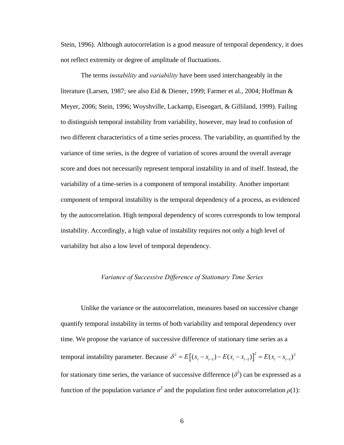Stein, 1996). Although autocorrelation is a good measure of temporal dependency, it does not reflect extremity or degree of amplitude of fluctuations.

The terms *instability* and *variability* have been used interchangeably in the literature (Larsen, 1987; see also Eid & Diener, 1999; Farmer et al., 2004; Hoffman & Meyer, 2006; Stein, 1996; Woyshville, Lackamp, Eisengart, & Gilliland, 1999). Failing to distinguish temporal instability from variability, however, may lead to confusion of two different characteristics of a time series process. The variability, as quantified by the variance of time series, is the degree of variation of scores around the overall average score and does not necessarily represent temporal instability in and of itself. Instead, the variability of a time-series is a component of temporal instability. Another important component of temporal instability is the temporal dependency of a process, as evidenced by the autocorrelation. High temporal dependency of scores corresponds to low temporal instability. Accordingly, a high value of instability requires not only a high level of variability but also a low level of temporal dependency.

## *Variance of Successive Difference of Stationary Time Series*

Unlike the variance or the autocorrelation, measures based on successive change quantify temporal instability in terms of both variability and temporal dependency over time. We propose the variance of successive difference of stationary time series as a temporal instability parameter. Because  $\delta^2 = E[(x_i - x_{i-1}) - E(x_i - x_{i-1})]^2 = E(x_i - x_{i-1})^2$ for stationary time series, the variance of successive difference  $(\delta^2)$  can be expressed as a function of the population variance  $\sigma^2$  and the population first order autocorrelation  $\rho(1)$ :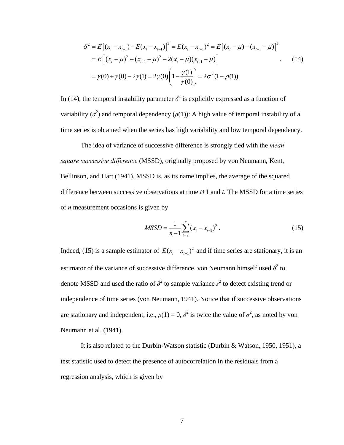$$
\delta^2 = E[(x_t - x_{t-1}) - E(x_t - x_{t-1})]^2 = E(x_t - x_{t-1})^2 = E[(x_t - \mu) - (x_{t-1} - \mu)]^2
$$
  
\n
$$
= E[(x_t - \mu)^2 + (x_{t-1} - \mu)^2 - 2(x_t - \mu)(x_{t-1} - \mu)]
$$
  
\n
$$
= \gamma(0) + \gamma(0) - 2\gamma(1) = 2\gamma(0) \left(1 - \frac{\gamma(1)}{\gamma(0)}\right) = 2\sigma^2(1 - \rho(1))
$$
 (14)

<span id="page-13-0"></span>In [\(14\),](#page-13-0) the temporal instability parameter  $\delta^2$  is explicitly expressed as a function of variability  $(\sigma^2)$  and temporal dependency  $(\rho(1))$ : A high value of temporal instability of a time series is obtained when the series has high variability and low temporal dependency.

The idea of variance of successive difference is strongly tied with the *mean square successive difference* (MSSD), originally proposed by von Neumann, Kent, Bellinson, and Hart (1941). MSSD is, as its name implies, the average of the squared difference between successive observations at time *t*+1 and *t*. The MSSD for a time series of *n* measurement occasions is given by

$$
MSSD = \frac{1}{n-1} \sum_{t=2}^{n} (x_t - x_{t-1})^2
$$
 (15)

<span id="page-13-1"></span>Indeed, [\(15\)](#page-13-1) is a sample estimator of  $E(x_t - x_{t-1})^2$  and if time series are stationary, it is an estimator of the variance of successive difference. von Neumann himself used  $\delta^2$  to denote MSSD and used the ratio of  $\delta^2$  to sample variance  $s^2$  to detect existing trend or independence of time series (von Neumann, 1941). Notice that if successive observations are stationary and independent, i.e.,  $\rho(1) = 0$ ,  $\delta^2$  is twice the value of  $\sigma^2$ , as noted by von Neumann et al. (1941).

It is also related to the Durbin-Watson statistic (Durbin & Watson, 1950, 1951), a test statistic used to detect the presence of autocorrelation in the residuals from a regression analysis, which is given by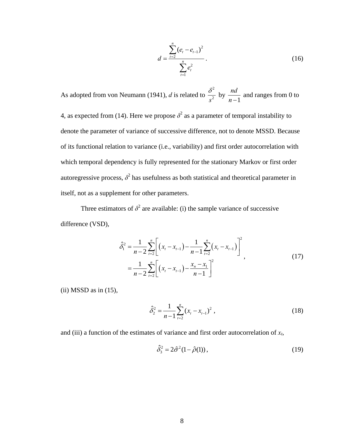$$
d = \frac{\sum_{t=2}^{n} (e_t - e_{t-1})^2}{\sum_{t=1}^{n} e_t^2}.
$$
 (16)

As adopted from von Neumann (1941), *d* is related to 2  $rac{\delta^2}{s^2}$  by  $\frac{nd}{n-1}$  and ranges from 0 to 4, as expected from [\(14\).](#page-13-0) Here we propose  $\delta^2$  as a parameter of temporal instability to denote the parameter of variance of successive difference, not to denote MSSD. Because of its functional relation to variance (i.e., variability) and first order autocorrelation with which temporal dependency is fully represented for the stationary Markov or first order autoregressive process,  $\delta^2$  has usefulness as both statistical and theoretical parameter in itself, not as a supplement for other parameters.

<span id="page-14-0"></span>Three estimators of  $\delta^2$  are available: (i) the sample variance of successive difference (VSD),

$$
\hat{\delta}_1^2 = \frac{1}{n-2} \sum_{t=2}^n \left[ (x_t - x_{t-1}) - \frac{1}{n-1} \sum_{t=2}^n (x_t - x_{t-1}) \right]^2,
$$
  
= 
$$
\frac{1}{n-2} \sum_{t=2}^n \left[ (x_t - x_{t-1}) - \frac{x_n - x_1}{n-1} \right]^2,
$$
 (17)

<span id="page-14-1"></span>(ii) MSSD as in [\(15\),](#page-13-1)

$$
\hat{\delta}_2^2 = \frac{1}{n-1} \sum_{t=2}^n (x_t - x_{t-1})^2 , \qquad (18)
$$

<span id="page-14-2"></span>and (iii) a function of the estimates of variance and first order autocorrelation of  $x_t$ ,

$$
\hat{\delta}_3^2 = 2\hat{\sigma}^2 (1 - \hat{\rho}(1)),\tag{19}
$$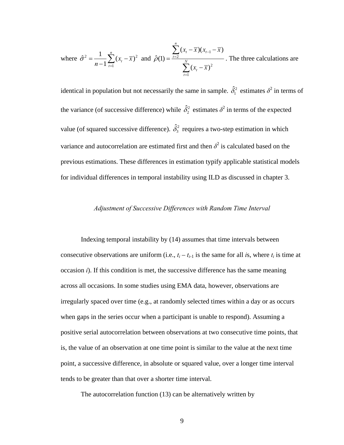where 
$$
\hat{\sigma}^2 = \frac{1}{n-1} \sum_{t=1}^n (x_t - \overline{x})^2
$$
 and 
$$
\hat{\rho}(1) = \frac{\sum_{t=2}^n (x_t - \overline{x})(x_{t-1} - \overline{x})}{\sum_{t=1}^N (x_t - \overline{x})^2}
$$
. The three calculations are

identical in population but not necessarily the same in sample.  $\hat{\delta}_1^2$  estimates  $\delta^2$  in terms of the variance (of successive difference) while  $\hat{\delta}_2^2$  estimates  $\delta^2$  in terms of the expected value (of squared successive difference).  $\hat{\delta}_3^2$  requires a two-step estimation in which variance and autocorrelation are estimated first and then  $\delta^2$  is calculated based on the previous estimations. These differences in estimation typify applicable statistical models for individual differences in temporal instability using ILD as discussed in chapter 3.

# *Adjustment of Successive Differences with Random Time Interval*

 Indexing temporal instability by [\(14\)](#page-13-0) assumes that time intervals between consecutive observations are uniform (i.e.,  $t_i - t_{i-1}$  is the same for all *i*s, where  $t_i$  is time at occasion *i*). If this condition is met, the successive difference has the same meaning across all occasions. In some studies using EMA data, however, observations are irregularly spaced over time (e.g., at randomly selected times within a day or as occurs when gaps in the series occur when a participant is unable to respond). Assuming a positive serial autocorrelation between observations at two consecutive time points, that is, the value of an observation at one time point is similar to the value at the next time point, a successive difference, in absolute or squared value, over a longer time interval tends to be greater than that over a shorter time interval.

The autocorrelation function [\(13\)](#page-11-0) can be alternatively written by

9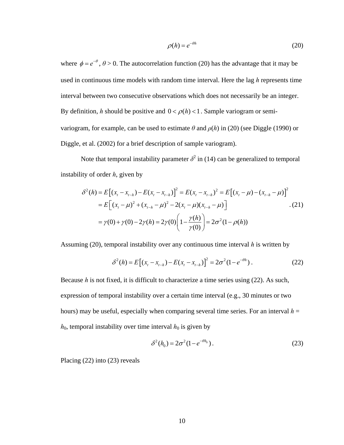$$
\rho(h) = e^{-\theta h} \tag{20}
$$

<span id="page-16-0"></span>where  $\phi = e^{-\theta}$ ,  $\theta > 0$ . The autocorrelation function [\(20\)](#page-16-0) has the advantage that it may be used in continuous time models with random time interval. Here the lag *h* represents time interval between two consecutive observations which does not necessarily be an integer. By definition, *h* should be positive and  $0 < \rho(h) < 1$ . Sample variogram or semivariogram, for example, can be used to estimate  $\theta$  and  $\rho(h)$  in [\(20\)](#page-16-0) (see Diggle (1990) or Diggle, et al. (2002) for a brief description of sample variogram).

Note that temporal instability parameter  $\delta^2$  in [\(14\)](#page-13-0) can be generalized to temporal instability of order *h*, given by

$$
\delta^{2}(h) = E\left[ (x_{t} - x_{t-h}) - E(x_{t} - x_{t-h}) \right]^{2} = E(x_{t} - x_{t-h})^{2} = E\left[ (x_{t} - \mu) - (x_{t-h} - \mu) \right]^{2}
$$
  
= 
$$
E\left[ (x_{t} - \mu)^{2} + (x_{t-h} - \mu)^{2} - 2(x_{t} - \mu)(x_{t-h} - \mu) \right]
$$
.(21)  
= 
$$
\gamma(0) + \gamma(0) - 2\gamma(h) = 2\gamma(0) \left( 1 - \frac{\gamma(h)}{\gamma(0)} \right) = 2\sigma^{2} (1 - \rho(h))
$$

<span id="page-16-1"></span>Assuming [\(20\),](#page-16-0) temporal instability over any continuous time interval *h* is written by

$$
\delta^2(h) = E[(x_t - x_{t-h}) - E(x_t - x_{t-h})]^2 = 2\sigma^2(1 - e^{-\theta h}).
$$
\n(22)

Because *h* is not fixed, it is difficult to characterize a time series using [\(22\).](#page-16-1) As such, expression of temporal instability over a certain time interval (e.g., 30 minutes or two hours) may be useful, especially when comparing several time series. For an interval  $h =$  $h_0$ , temporal instability over time interval  $h_0$  is given by

$$
\delta^2(h_0) = 2\sigma^2(1 - e^{-\theta h_0}).
$$
\n(23)

<span id="page-16-2"></span>Placing [\(22\)](#page-16-1) into [\(23\)](#page-16-2) reveals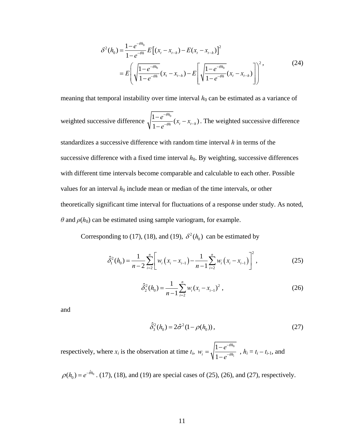$$
\delta^{2}(h_{0}) = \frac{1 - e^{-\theta h_{0}}}{1 - e^{-\theta h_{0}}} E\left[ (x_{t} - x_{t-h}) - E(x_{t} - x_{t-h}) \right]^{2}
$$
  
= 
$$
E\left( \sqrt{\frac{1 - e^{-\theta h_{0}}}{1 - e^{-\theta h_{0}}}} (x_{t} - x_{t-h}) - E\left[ \sqrt{\frac{1 - e^{-\theta h_{0}}}{1 - e^{-\theta h_{0}}}} (x_{t} - x_{t-h}) \right] \right)^{2},
$$
 (24)

meaning that temporal instability over time interval  $h_0$  can be estimated as a variance of

weighted successive difference  $\sqrt{\frac{1 - e^{-\theta h_0}}{1 - e^{-\theta h}}}$  $h \left( t \right)$   $\mathcal{N}_t$   $\mathcal{N}_{t-h}$  $\frac{e^{-\theta h_0}}{e^{-\theta h_0}}(x_t - x_{t-h})$ *e* θ θ −  $\frac{-e^{-\theta h_0}}{-e^{-\theta h}}(x_t - x_{t-h})$ . The weighted successive difference

standardizes a successive difference with random time interval *h* in terms of the successive difference with a fixed time interval  $h_0$ . By weighting, successive differences with different time intervals become comparable and calculable to each other. Possible values for an interval  $h_0$  include mean or median of the time intervals, or other theoretically significant time interval for fluctuations of a response under study. As noted,  $\theta$  and  $\rho(h_0)$  can be estimated using sample variogram, for example.

<span id="page-17-0"></span>Corresponding to [\(17\),](#page-14-0) [\(18\),](#page-14-1) and [\(19\),](#page-14-2)  $\delta^2(h_0)$  can be estimated by

$$
\hat{\delta}_1^2(h_0) = \frac{1}{n-2} \sum_{i=2}^n \left[ w_i \left( x_i - x_{i-1} \right) - \frac{1}{n-1} \sum_{i=2}^n w_i \left( x_i - x_{i-1} \right) \right]^2, \tag{25}
$$

$$
\hat{\delta}_2^2(h_0) = \frac{1}{n-1} \sum_{i=2}^n w_i (x_i - x_{i-1})^2 , \qquad (26)
$$

<span id="page-17-2"></span><span id="page-17-1"></span>and

$$
\hat{\delta}_3^2(h_0) = 2\hat{\sigma}^2(1 - \rho(h_0)),\tag{27}
$$

respectively, where  $x_i$  is the observation at time  $t_i$ ,  $w_i = \sqrt{\frac{1 - e^{-\theta h_0}}{1 - \theta h_0}}$  $1-e^{-\theta h_i}$ *h*  $i = \sqrt{n}$   $\frac{1}{2}$   $\theta h$  $w_i = \sqrt{\frac{1-e}{1}}$ *e* θ θ −  $=\sqrt{\frac{1-e^{-\theta h_0}}{1-e^{-\theta h_i}}}$ ,  $h_i = t_i - t_{i-1}$ , and

 $\rho(h_0) = e^{-\hat{\theta}h_0}$ . [\(17\),](#page-14-0) [\(18\),](#page-14-1) and [\(19\)](#page-14-2) are special cases of [\(25\),](#page-17-0) [\(26\),](#page-17-1) and [\(27\),](#page-17-2) respectively.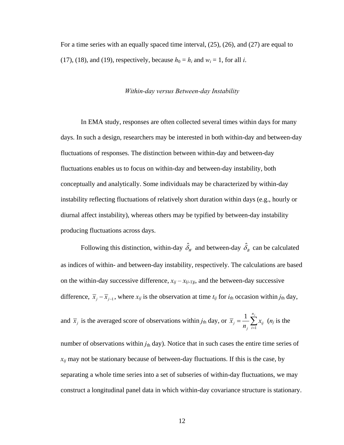For a time series with an equally spaced time interval, [\(25\)](#page-17-0), [\(26\)](#page-17-1), and [\(27\)](#page-17-2) are equal to [\(17\),](#page-14-0) [\(18\),](#page-14-1) and [\(19\)](#page-14-2), respectively, because  $h_0 = h_i$  and  $w_i = 1$ , for all *i*.

#### *Within-day versus Between-day Instability*

In EMA study, responses are often collected several times within days for many days. In such a design, researchers may be interested in both within-day and between-day fluctuations of responses. The distinction between within-day and between-day fluctuations enables us to focus on within-day and between-day instability, both conceptually and analytically. Some individuals may be characterized by within-day instability reflecting fluctuations of relatively short duration within days (e.g., hourly or diurnal affect instability), whereas others may be typified by between-day instability producing fluctuations across days.

Following this distinction, within-day  $\hat{\delta}_w$  and between-day  $\hat{\delta}_B$  can be calculated as indices of within- and between-day instability, respectively. The calculations are based on the within-day successive difference,  $x_{ij} - x_{(i-1)j}$ , and the between-day successive difference,  $\overline{x}_i - \overline{x}_{i-1}$ , where  $x_{ij}$  is the observation at time  $t_{ij}$  for  $i_{th}$  occasion within  $j_{th}$  day,

and 
$$
\overline{x}_j
$$
 is the averaged score of observations within  $j_{\text{th}}$  day, or  $\overline{x}_j = \frac{1}{n_j} \sum_{i=1}^{n_j} x_{ij}$  (*n*<sub>j</sub> is the

number of observations within  $j_{th}$  day). Notice that in such cases the entire time series of  $x_{ij}$  may not be stationary because of between-day fluctuations. If this is the case, by separating a whole time series into a set of subseries of within-day fluctuations, we may construct a longitudinal panel data in which within-day covariance structure is stationary.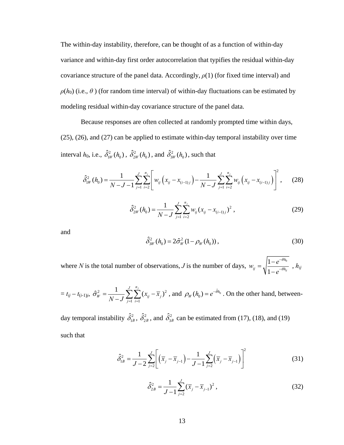The within-day instability, therefore, can be thought of as a function of within-day variance and within-day first order autocorrelation that typifies the residual within-day covariance structure of the panel data. Accordingly,  $\rho(1)$  (for fixed time interval) and  $\rho(h_0)$  (i.e.,  $\theta$ ) (for random time interval) of within-day fluctuations can be estimated by modeling residual within-day covariance structure of the panel data.

Because responses are often collected at randomly prompted time within days, [\(25\),](#page-17-0) [\(26\),](#page-17-1) and [\(27\)](#page-17-2) can be applied to estimate within-day temporal instability over time interval  $h_0$ , i.e.,  $\hat{\delta}_{1W}^2(h_0)$ ,  $\hat{\delta}_{2W}^2(h_0)$ , and  $\hat{\delta}_{3W}^2(h_0)$ , such that

$$
\hat{\delta}_{1W}^{2}(h_{0}) = \frac{1}{N-J-1} \sum_{j=1}^{J} \sum_{i=2}^{n_{j}} \left[ w_{ij} \left( x_{ij} - x_{(i-1)j} \right) - \frac{1}{N-J} \sum_{j=1}^{J} \sum_{i=2}^{n_{j}} w_{ij} \left( x_{ij} - x_{(i-1)j} \right) \right]^{2}, \quad (28)
$$

$$
\hat{\delta}_{2W}^2(h_0) = \frac{1}{N-J} \sum_{j=1}^J \sum_{i=2}^{n_j} w_{ij} (x_{ij} - x_{(i-1)j})^2 , \qquad (29)
$$

and

$$
\hat{\delta}_{3W}^2(h_0) = 2\hat{\sigma}_W^2(1 - \rho_W(h_0)),\tag{30}
$$

where *N* is the total number of observations, *J* is the number of days,  $w_{ii} = \sqrt{\frac{1 - e^{-\theta h_0}}{e^{-\theta h_0}}}$  $1 - e^{-\theta h_{ij}}$ *h*  $\int$  *j*  $\int$  *h*  $\theta$ *h*  $w_{ii} = \sqrt{\frac{1-e}{\epsilon}}$ *e* θ θ −  $=\sqrt{\frac{1-e^{-\theta h_0}}{1-e^{-\theta h_{ij}}}}\;\;,\, h_{ij}$ 

$$
= t_{ij} - t_{(i-1)j}, \ \hat{\sigma}_{W}^{2} = \frac{1}{N-J} \sum_{j=1}^{J} \sum_{i=1}^{n_{j}} (x_{ij} - \overline{x}_{j})^{2}, \text{ and } \rho_{W}(h_{0}) = e^{-\hat{\theta}h_{0}}. \text{ On the other hand, between-}
$$

day temporal instability  $\hat{\delta}_{1B}^2$ ,  $\hat{\delta}_{2B}^2$ , and  $\hat{\delta}_{3B}^2$  can be estimated from [\(17\),](#page-14-0) [\(18\),](#page-14-1) and [\(19\)](#page-14-2) such that

$$
\hat{\delta}_{1B}^{2} = \frac{1}{J-2} \sum_{j=2}^{J} \left[ \left( \overline{x}_{j} - \overline{x}_{j-1} \right) - \frac{1}{J-1} \sum_{j=2}^{J} \left( \overline{x}_{j} - \overline{x}_{j-1} \right) \right]^{2} \tag{31}
$$

$$
\hat{\delta}_{2B}^2 = \frac{1}{J-1} \sum_{j=2}^{J} (\overline{x}_j - \overline{x}_{j-1})^2 , \qquad (32)
$$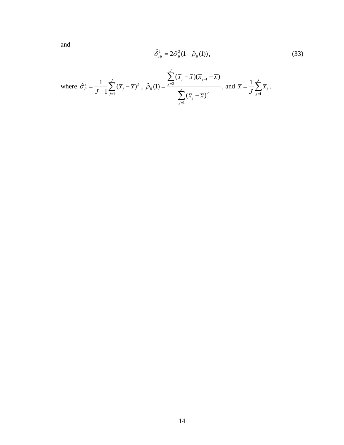<span id="page-20-0"></span>and

$$
\hat{\delta}_{3B}^2 = 2\hat{\sigma}_B^2(1-\hat{\rho}_B(1)),
$$
\n(33)

where 
$$
\hat{\sigma}_B^2 = \frac{1}{J-1} \sum_{j=1}^J (\overline{x}_j - \overline{x})^2
$$
,  $\hat{\rho}_B(1) = \frac{\sum_{j=2}^J (\overline{x}_j - \overline{x})(\overline{x}_{j-1} - \overline{x})}{\sum_{j=1}^J (\overline{x}_j - \overline{x})^2}$ , and  $\overline{x} = \frac{1}{J} \sum_{j=1}^J \overline{x}_j$ .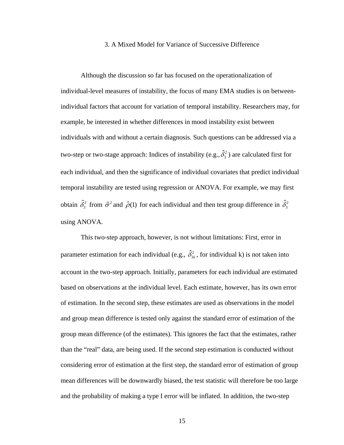#### 3. A Mixed Model for Variance of Successive Difference

Although the discussion so far has focused on the operationalization of individual-level measures of instability, the focus of many EMA studies is on betweenindividual factors that account for variation of temporal instability. Researchers may, for example, be interested in whether differences in mood instability exist between individuals with and without a certain diagnosis. Such questions can be addressed via a two-step or two-stage approach: Indices of instability (e.g.,  $\hat{\delta}_3^2$  ) are calculated first for each individual, and then the significance of individual covariates that predict individual temporal instability are tested using regression or ANOVA. For example, we may first obtain  $\hat{\delta}_3^2$  from  $\hat{\sigma}^2$  and  $\hat{\rho}(1)$  for each individual and then test group difference in  $\hat{\delta}_3^2$ using ANOVA.

This two-step approach, however, is not without limitations: First, error in parameter estimation for each individual (e.g.,  $\hat{\delta}_{3k}^2$ , for individual k) is not taken into account in the two-step approach. Initially, parameters for each individual are estimated based on observations at the individual level. Each estimate, however, has its own error of estimation. In the second step, these estimates are used as observations in the model and group mean difference is tested only against the standard error of estimation of the group mean difference (of the estimates). This ignores the fact that the estimates, rather than the "real" data, are being used. If the second step estimation is conducted without considering error of estimation at the first step, the standard error of estimation of group mean differences will be downwardly biased, the test statistic will therefore be too large and the probability of making a type I error will be inflated. In addition, the two-step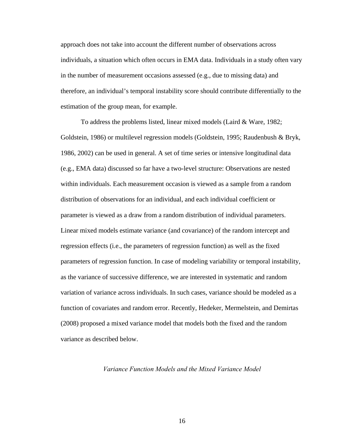approach does not take into account the different number of observations across individuals, a situation which often occurs in EMA data. Individuals in a study often vary in the number of measurement occasions assessed (e.g., due to missing data) and therefore, an individual's temporal instability score should contribute differentially to the estimation of the group mean, for example.

To address the problems listed, linear mixed models (Laird & Ware, 1982; Goldstein, 1986) or multilevel regression models (Goldstein, 1995; Raudenbush & Bryk, 1986, 2002) can be used in general. A set of time series or intensive longitudinal data (e.g., EMA data) discussed so far have a two-level structure: Observations are nested within individuals. Each measurement occasion is viewed as a sample from a random distribution of observations for an individual, and each individual coefficient or parameter is viewed as a draw from a random distribution of individual parameters. Linear mixed models estimate variance (and covariance) of the random intercept and regression effects (i.e., the parameters of regression function) as well as the fixed parameters of regression function. In case of modeling variability or temporal instability, as the variance of successive difference, we are interested in systematic and random variation of variance across individuals. In such cases, variance should be modeled as a function of covariates and random error. Recently, Hedeker, Mermelstein, and Demirtas (2008) proposed a mixed variance model that models both the fixed and the random variance as described below.

## *Variance Function Models and the Mixed Variance Model*

16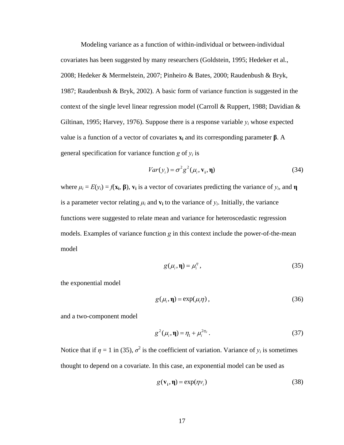Modeling variance as a function of within-individual or between-individual covariates has been suggested by many researchers (Goldstein, 1995; Hedeker et al., 2008; Hedeker & Mermelstein, 2007; Pinheiro & Bates, 2000; Raudenbush & Bryk, 1987; Raudenbush & Bryk, 2002). A basic form of variance function is suggested in the context of the single level linear regression model (Carroll & Ruppert, 1988; Davidian & Giltinan, 1995; Harvey, 1976). Suppose there is a response variable  $y_i$  whose expected value is a function of a vector of covariates **xi** and its corresponding parameter **β**. A general specification for variance function  $g$  of  $y_i$  is

$$
Var(y_i) = \sigma^2 g^2(\mu_i, \mathbf{v}_i, \mathbf{\eta})
$$
\n(34)

where  $\mu_i = E(y_i) = f(\mathbf{x_i}, \mathbf{\beta})$ ,  $\mathbf{v_i}$  is a vector of covariates predicting the variance of  $y_i$ , and **η** is a parameter vector relating  $\mu_i$  and  $\mathbf{v}_i$  to the variance of  $y_i$ . Initially, the variance functions were suggested to relate mean and variance for heteroscedastic regression models. Examples of variance function *g* in this context include the power-of-the-mean model

$$
g(\mu_i, \eta) = \mu_i^{\eta}, \qquad (35)
$$

<span id="page-23-0"></span>the exponential model

$$
g(\mu_i, \eta) = \exp(\mu_i \eta) , \qquad (36)
$$

and a two-component model

$$
g^{2}(\mu_{i}, \eta) = \eta_{1} + \mu_{i}^{2\eta_{2}}.
$$
 (37)

Notice that if  $\eta = 1$  in [\(35\)](#page-23-0),  $\sigma^2$  is the coefficient of variation. Variance of  $y_i$  is sometimes thought to depend on a covariate. In this case, an exponential model can be used as

$$
g(\mathbf{v}_i, \mathbf{\eta}) = \exp(\eta v_i)
$$
 (38)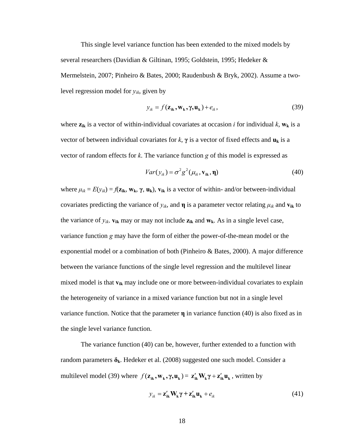This single level variance function has been extended to the mixed models by several researchers (Davidian & Giltinan, 1995; Goldstein, 1995; Hedeker & Mermelstein, 2007; Pinheiro & Bates, 2000; Raudenbush & Bryk, 2002). Assume a twolevel regression model for *yik*, given by

$$
y_{ik} = f(\mathbf{z}_{ik}, \mathbf{w}_k, \gamma, \mathbf{u}_k) + e_{ik},
$$
\n(39)

<span id="page-24-1"></span>where  $z_{ik}$  is a vector of within-individual covariates at occasion *i* for individual *k*,  $w_k$  is a vector of between individual covariates for  $k$ ,  $\gamma$  is a vector of fixed effects and  $\mathbf{u}_k$  is a vector of random effects for *k*. The variance function *g* of this model is expressed as

$$
Var(y_{ik}) = \sigma^2 g^2(\mu_{ik}, \mathbf{v}_{ik}, \mathbf{\eta})
$$
\n(40)

<span id="page-24-0"></span>where  $\mu_{ik} = E(y_{ik}) = f(z_{ik}, w_k, \gamma, u_k)$ ,  $v_{ik}$  is a vector of within- and/or between-individual covariates predicting the variance of  $y_{ik}$ , and **η** is a parameter vector relating  $\mu_{ik}$  and  $\mathbf{v}_{ik}$  to the variance of  $y_{ik}$ .  $\mathbf{v}_{ik}$  may or may not include  $\mathbf{z}_{ik}$  and  $\mathbf{w}_{k}$ . As in a single level case, variance function *g* may have the form of either the power-of-the-mean model or the exponential model or a combination of both (Pinheiro & Bates, 2000). A major difference between the variance functions of the single level regression and the multilevel linear mixed model is that **vik** may include one or more between-individual covariates to explain the heterogeneity of variance in a mixed variance function but not in a single level variance function. Notice that the parameter **η** in variance function [\(40\)](#page-24-0) is also fixed as in the single level variance function.

<span id="page-24-2"></span>The variance function [\(40\)](#page-24-0) can be, however, further extended to a function with random parameters **δk**. Hedeker et al. (2008) suggested one such model. Consider a multilevel model [\(39\)](#page-24-1) where  $f(z_{ik}, w_k, \gamma, u_k) = z_{ik}^{\prime} W_k \gamma + z_{ik}^{\prime} u_k$ , written by

$$
y_{ik} = \mathbf{z}_{ik}' \mathbf{W}_k \mathbf{\gamma} + \mathbf{z}_{ik}' \mathbf{u}_k + e_{ik}
$$
 (41)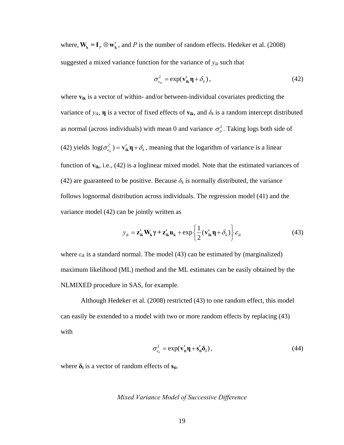where,  $W_k = I_k \otimes w'_k$ , and *P* is the number of random effects. Hedeker et al. (2008) suggested a mixed variance function for the variance of  $y_{ik}$  such that

$$
\sigma_{e_{ik}}^2 = \exp(\mathbf{v}_{ik}' \mathbf{\eta} + \delta_k), \qquad (42)
$$

<span id="page-25-0"></span>where  $v_{ik}$  is a vector of within- and/or between-individual covariates predicting the variance of  $y_{ik}$ , **η** is a vector of fixed effects of  $\mathbf{v}_{ik}$ , and  $\delta_k$  is a random intercept distributed as normal (across individuals) with mean 0 and variance  $\sigma_{\delta}^2$ . Taking logs both side of [\(42\)](#page-25-0) yields  $\log(\sigma_{e_k}^2) = \mathbf{v}_{ik}^{\prime} \mathbf{\eta} + \delta_k$ , meaning that the logarithm of variance is a linear function of **vik**, i.e., [\(42\)](#page-25-0) is a loglinear mixed model. Note that the estimated variances of [\(42\)](#page-25-0) are guaranteed to be positive. Because  $\delta_k$  is normally distributed, the variance follows lognormal distribution across individuals. The regression model [\(41\)](#page-24-2) and the variance model [\(42\)](#page-25-0) can be jointly written as

$$
y_{ik} = \mathbf{z}_{ik}' \mathbf{W}_k \boldsymbol{\gamma} + \mathbf{z}_{ik}' \mathbf{u}_k + \exp\left\{\frac{1}{2}(\mathbf{v}_{ik}' \boldsymbol{\eta} + \delta_k)\right\} \varepsilon_{ik}
$$
(43)

<span id="page-25-1"></span>where  $\varepsilon_{ik}$  is a standard normal. The model [\(43\)](#page-25-1) can be estimated by (marginalized) maximum likelihood (ML) method and the ML estimates can be easily obtained by the NLMIXED procedure in SAS, for example.

Although Hedeker et al. (2008) restricted [\(43\)](#page-25-1) to one random effect, this model can easily be extended to a model with two or more random effects by replacing [\(43\)](#page-25-1) with

$$
\sigma_{e_{ii}}^2 = \exp(\mathbf{v}_{ii}' \mathbf{\eta} + \mathbf{s}_{ii}' \mathbf{\delta}_i), \tag{44}
$$

where  $\delta_i$  is a vector of random effects of  $s_{ti}$ .

### *Mixed Variance Model of Successive Difference*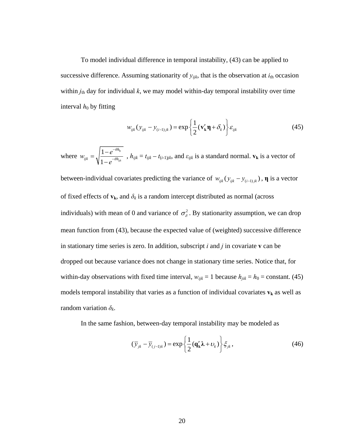To model individual difference in temporal instability, [\(43\)](#page-25-1) can be applied to successive difference. Assuming stationarity of  $y_{ijk}$ , that is the observation at  $i_{th}$  occasion within  $j_{th}$  day for individual  $k$ , we may model within-day temporal instability over time interval  $h_0$  by fitting

$$
w_{ijk}(y_{ijk} - y_{(i-1)jk}) = \exp\left\{\frac{1}{2}(\mathbf{v}_k'\mathbf{\eta} + \delta_k)\right\}\varepsilon_{ijk}
$$
 (45)

<span id="page-26-0"></span>where  $w_{ijk} = \sqrt{\frac{1 - e^{-\theta h_0}}{e^{-\theta h_0}}}$  $1-e^{-\theta h_{ijk}}$ *h*  $ijk = \lambda \vert n \vert -\theta h$  $w_{ijk} = \sqrt{\frac{1-e}{\epsilon}}$ *e* θ θ −  $=\sqrt{\frac{1-e^{-\theta h_{0}}}{1-e^{-\theta h_{ijk}}}}$ ,  $h_{ijk} = t_{ijk} - t_{(i-1)jk}$ , and  $\varepsilon_{ijk}$  is a standard normal.  $\mathbf{v}_k$  is a vector of between-individual covariates predicting the variance of  $w_{ijk} ( y_{ijk} - y_{(i-1)jk})$ , **η** is a vector of fixed effects of  $v_k$ , and  $\delta_k$  is a random intercept distributed as normal (across individuals) with mean of 0 and variance of  $\sigma_{\delta}^2$ . By stationarity assumption, we can drop mean function from [\(43\)](#page-25-1), because the expected value of (weighted) successive difference in stationary time series is zero. In addition, subscript *i* and *j* in covariate **v** can be dropped out because variance does not change in stationary time series. Notice that, for within-day observations with fixed time interval,  $w_{ijk} = 1$  because  $h_{jik} = h_0 = \text{constant}$ . [\(45\)](#page-26-0) models temporal instability that varies as a function of individual covariates  $v_k$  as well as random variation  $\delta_k$ .

<span id="page-26-1"></span>In the same fashion, between-day temporal instability may be modeled as

$$
(\overline{y}_{jk} - \overline{y}_{(j-1)k}) = \exp\left\{\frac{1}{2}(\mathbf{q}'_{k}\lambda + \nu_{k})\right\}\xi_{jk},
$$
\n(46)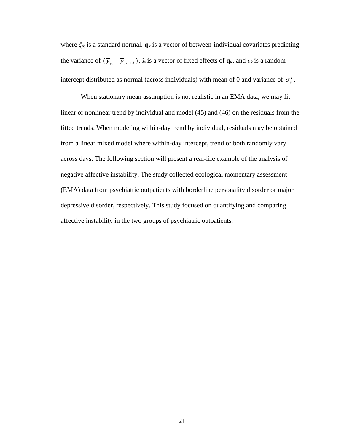where *ξjk* is a standard normal. **qk** is a vector of between-individual covariates predicting the variance of  $(\bar{y}_{jk} - \bar{y}_{(j-1)k})$ ,  $\lambda$  is a vector of fixed effects of  $\mathbf{q}_k$ , and  $v_k$  is a random intercept distributed as normal (across individuals) with mean of 0 and variance of  $\sigma_{v}^{2}$ .

When stationary mean assumption is not realistic in an EMA data, we may fit linear or nonlinear trend by individual and model [\(45\)](#page-26-0) and [\(46\)](#page-26-1) on the residuals from the fitted trends. When modeling within-day trend by individual, residuals may be obtained from a linear mixed model where within-day intercept, trend or both randomly vary across days. The following section will present a real-life example of the analysis of negative affective instability. The study collected ecological momentary assessment (EMA) data from psychiatric outpatients with borderline personality disorder or major depressive disorder, respectively. This study focused on quantifying and comparing affective instability in the two groups of psychiatric outpatients.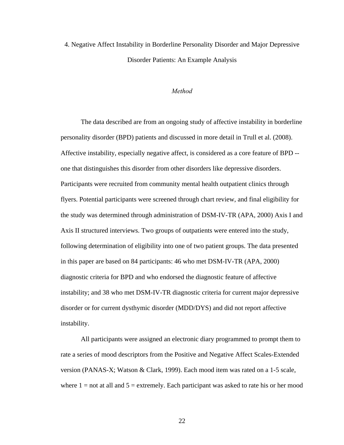4. Negative Affect Instability in Borderline Personality Disorder and Major Depressive Disorder Patients: An Example Analysis

### *Method*

The data described are from an ongoing study of affective instability in borderline personality disorder (BPD) patients and discussed in more detail in Trull et al. (2008). Affective instability, especially negative affect, is considered as a core feature of BPD - one that distinguishes this disorder from other disorders like depressive disorders. Participants were recruited from community mental health outpatient clinics through flyers. Potential participants were screened through chart review, and final eligibility for the study was determined through administration of DSM-IV-TR (APA, 2000) Axis I and Axis II structured interviews. Two groups of outpatients were entered into the study, following determination of eligibility into one of two patient groups. The data presented in this paper are based on 84 participants: 46 who met DSM-IV-TR (APA, 2000) diagnostic criteria for BPD and who endorsed the diagnostic feature of affective instability; and 38 who met DSM-IV-TR diagnostic criteria for current major depressive disorder or for current dysthymic disorder (MDD/DYS) and did not report affective instability.

All participants were assigned an electronic diary programmed to prompt them to rate a series of mood descriptors from the Positive and Negative Affect Scales-Extended version (PANAS-X; Watson & Clark, 1999). Each mood item was rated on a 1-5 scale, where  $1 = not$  at all and  $5 =$  extremely. Each participant was asked to rate his or her mood

22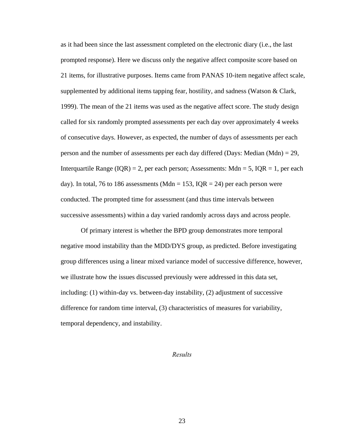as it had been since the last assessment completed on the electronic diary (i.e., the last prompted response). Here we discuss only the negative affect composite score based on 21 items, for illustrative purposes. Items came from PANAS 10-item negative affect scale, supplemented by additional items tapping fear, hostility, and sadness (Watson & Clark, 1999). The mean of the 21 items was used as the negative affect score. The study design called for six randomly prompted assessments per each day over approximately 4 weeks of consecutive days. However, as expected, the number of days of assessments per each person and the number of assessments per each day differed (Days: Median (Mdn) = 29, Interquartile Range ( $IQR$ ) = 2, per each person; Assessments: Mdn = 5,  $IQR = 1$ , per each day). In total, 76 to 186 assessments (Mdn = 153, IQR = 24) per each person were conducted. The prompted time for assessment (and thus time intervals between successive assessments) within a day varied randomly across days and across people.

Of primary interest is whether the BPD group demonstrates more temporal negative mood instability than the MDD/DYS group, as predicted. Before investigating group differences using a linear mixed variance model of successive difference, however, we illustrate how the issues discussed previously were addressed in this data set, including: (1) within-day vs. between-day instability, (2) adjustment of successive difference for random time interval, (3) characteristics of measures for variability, temporal dependency, and instability.

#### *Results*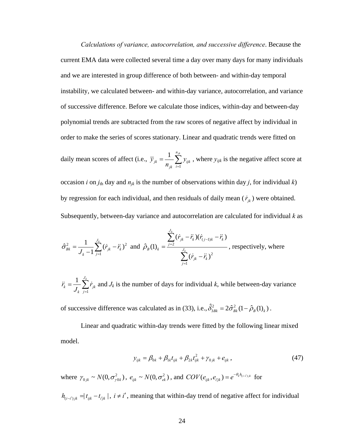*Calculations of variance, autocorrelation, and successive difference*. Because the current EMA data were collected several time a day over many days for many individuals and we are interested in group difference of both between- and within-day temporal instability, we calculated between- and within-day variance, autocorrelation, and variance of successive difference. Before we calculate those indices, within-day and between-day polynomial trends are subtracted from the raw scores of negative affect by individual in order to make the series of scores stationary. Linear and quadratic trends were fitted on

daily mean scores of affect (i.e., 
$$
\overline{y}_{jk} = \frac{1}{n_{jk}} \sum_{i=1}^{n_{jk}} y_{ijk}
$$
, where  $y_{ijk}$  is the negative affect score at

occasion *i* on  $j_{th}$  day and  $n_{jk}$  is the number of observations within day *j*, for individual *k*) by regression for each individual, and then residuals of daily mean  $(\dot{r}_{jk})$  were obtained. Subsequently, between-day variance and autocorrelation are calculated for individual *k* as

$$
\hat{\sigma}_{Bk}^{2} = \frac{1}{J_{k} - 1} \sum_{j=1}^{J_{k}} (\dot{r}_{jk} - \ddot{r}_{k})^{2} \text{ and } \hat{\rho}_{B}(1)_{k} = \frac{\sum_{j=2}^{J_{k}} (\dot{r}_{jk} - \ddot{r}_{k})(\dot{r}_{(j-1)k} - \ddot{r}_{k})}{\sum_{j=1}^{J_{k}} (\dot{r}_{jk} - \ddot{r}_{k})^{2}}, \text{ respectively, where}
$$

$$
\ddot{r}_k = \frac{1}{J_k} \sum_{j=1}^{J_k} \dot{r}_{jk}
$$
 and  $J_k$  is the number of days for individual *k*, while between-day variance

of successive difference was calculated as in [\(33\),](#page-20-0) i.e.,  $\hat{\delta}_{3Bk}^2 = 2\hat{\sigma}_{Bk}^2 (1 - \hat{\rho}_B(1)_k)$ .

Linear and quadratic within-day trends were fitted by the following linear mixed model.

$$
y_{ijk} = \beta_{0k} + \beta_{1k} t_{ijk} + \beta_{2k} t_{ijk}^2 + \gamma_{0jk} + e_{ijk},
$$
\n(47)

<span id="page-30-0"></span>where  $\gamma_{0jk} \sim N(0, \sigma_{j0k}^2)$ ,  $e_{ijk} \sim N(0, \sigma_{ek}^2)$ , and  $COV(e_{ijk}, e_{ijk}) = e^{-\theta_k h_{(i-i)jk}}$  for

 $h_{(i-i')jk} = |t_{ijk} - t_{ijk}|$ ,  $i \neq i'$ , meaning that within-day trend of negative affect for individual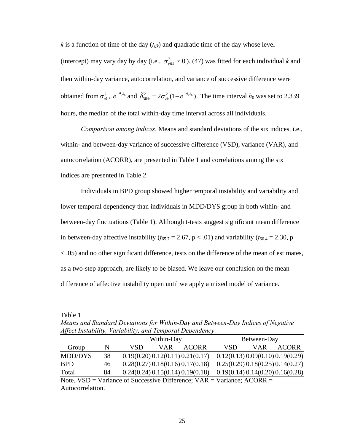$k$  is a function of time of the day  $(t_{ijk})$  and quadratic time of the day whose level (intercept) may vary day by day (i.e.,  $\sigma_{\gamma 0 k}^2 \neq 0$ ). [\(47\)](#page-30-0) was fitted for each individual *k* and then within-day variance, autocorrelation, and variance of successive difference were obtained from  $\sigma_{ek}^2$ ,  $e^{-\theta_k h_0}$  and  $\hat{\delta}_{3Wk}^2 = 2\sigma_{ek}^2 (1 - e^{-\theta_k h_0})$ . The time interval  $h_0$  was set to 2.339 hours, the median of the total within-day time interval across all individuals.

*Comparison among indices*. Means and standard deviations of the six indices, i.e., within- and between-day variance of successive difference (VSD), variance (VAR), and autocorrelation (ACORR), are presented in Table 1 and correlations among the six indices are presented in Table 2.

Individuals in BPD group showed higher temporal instability and variability and lower temporal dependency than individuals in MDD/DYS group in both within- and between-day fluctuations (Table 1). Although t-tests suggest significant mean difference in between-day affective instability ( $t_{65.7} = 2.67$ , p < .01) and variability ( $t_{60.4} = 2.30$ , p < .05) and no other significant difference, tests on the difference of the mean of estimates, as a two-step approach, are likely to be biased. We leave our conclusion on the mean difference of affective instability open until we apply a mixed model of variance.

Table 1

*Means and Standard Deviations for Within-Day and Between-Day Indices of Negative Affect Instability, Variability, and Temporal Dependency* 

|                                                                               |    | Within-Day |     |                                  | Between-Day                      |     |                                  |
|-------------------------------------------------------------------------------|----|------------|-----|----------------------------------|----------------------------------|-----|----------------------------------|
| Group                                                                         | N  | VSD        | VAR | <b>ACORR</b>                     | VSD                              | VAR | <b>ACORR</b>                     |
| <b>MDD/DYS</b>                                                                | 38 |            |     | 0.19(0.20) 0.12(0.11) 0.21(0.17) |                                  |     | 0.12(0.13) 0.09(0.10) 0.19(0.29) |
| <b>BPD</b>                                                                    | 46 |            |     | 0.28(0.27) 0.18(0.16) 0.17(0.18) |                                  |     | 0.25(0.29) 0.18(0.25) 0.14(0.27) |
| Total                                                                         | 84 |            |     | 0.24(0.24) 0.15(0.14) 0.19(0.18) | 0.19(0.14) 0.14(0.20) 0.16(0.28) |     |                                  |
| Note. $VSD = Variance$ of Successive Difference; $VAR = Variance$ ; $ACORR =$ |    |            |     |                                  |                                  |     |                                  |
| Autocorrelation.                                                              |    |            |     |                                  |                                  |     |                                  |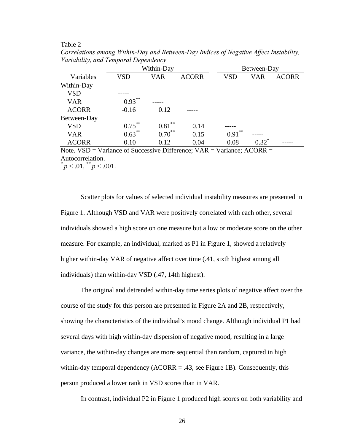#### Table 2

| $\overline{\phantom{a}}$ | Within-Day |            |              | Between-Day |          |              |
|--------------------------|------------|------------|--------------|-------------|----------|--------------|
| Variables                | VSD        | <b>VAR</b> | <b>ACORR</b> | <b>VSD</b>  | VAR      | <b>ACORR</b> |
| Within-Day               |            |            |              |             |          |              |
| VSD                      |            |            |              |             |          |              |
| <b>VAR</b>               | $0.93***$  |            |              |             |          |              |
| <b>ACORR</b>             | $-0.16$    | 0.12       |              |             |          |              |
| Between-Day              |            |            |              |             |          |              |
| VSD                      | $0.75***$  | $0.81***$  | 0.14         |             |          |              |
| <b>VAR</b>               | $0.63***$  | $0.70***$  | 0.15         | **<br>0.91  |          |              |
| <b>ACORR</b>             | 0.10       | 0.12       | 0.04         | 0.08        | $0.32^*$ |              |

*Correlations among Within-Day and Between-Day Indices of Negative Affect Instability, Variability, and Temporal Dependency* 

Note.  $VSD = Variance$  of Successive Difference;  $VAR = Variance$ ;  $ACORR =$ Autocorrelation.  $p < .01,$   $\binom{1}{2}$   $p < .001$ .

Scatter plots for values of selected individual instability measures are presented in Figure 1. Although VSD and VAR were positively correlated with each other, several individuals showed a high score on one measure but a low or moderate score on the other measure. For example, an individual, marked as P1 in Figure 1, showed a relatively higher within-day VAR of negative affect over time  $(.41, \text{ sixth highest among all})$ individuals) than within-day VSD (.47, 14th highest).

The original and detrended within-day time series plots of negative affect over the course of the study for this person are presented in Figure 2A and 2B, respectively, showing the characteristics of the individual's mood change. Although individual P1 had several days with high within-day dispersion of negative mood, resulting in a large variance, the within-day changes are more sequential than random, captured in high within-day temporal dependency ( $ACORR = .43$ , see Figure 1B). Consequently, this person produced a lower rank in VSD scores than in VAR.

In contrast, individual P2 in Figure 1 produced high scores on both variability and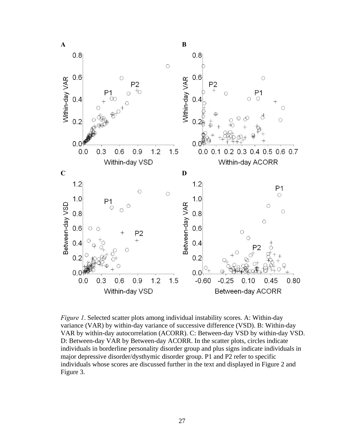

*Figure 1*. Selected scatter plots among individual instability scores. A: Within-day variance (VAR) by within-day variance of successive difference (VSD). B: Within-day VAR by within-day autocorrelation (ACORR). C: Between-day VSD by within-day VSD. D: Between-day VAR by Between-day ACORR. In the scatter plots, circles indicate individuals in borderline personality disorder group and plus signs indicate individuals in major depressive disorder/dysthymic disorder group. P1 and P2 refer to specific individuals whose scores are discussed further in the text and displayed in Figure 2 and Figure 3.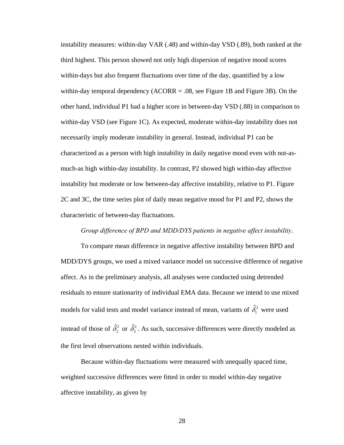instability measures: within-day VAR (.48) and within-day VSD (.89), both ranked at the third highest. This person showed not only high dispersion of negative mood scores within-days but also frequent fluctuations over time of the day, quantified by a low within-day temporal dependency  $(ACORR = .08)$ , see Figure 1B and Figure 3B). On the other hand, individual P1 had a higher score in between-day VSD (.88) in comparison to within-day VSD (see Figure 1C). As expected, moderate within-day instability does not necessarily imply moderate instability in general. Instead, individual P1 can be characterized as a person with high instability in daily negative mood even with not-asmuch-as high within-day instability. In contrast, P2 showed high within-day affective instability but moderate or low between-day affective instability, relative to P1. Figure 2C and 3C, the time series plot of daily mean negative mood for P1 and P2, shows the characteristic of between-day fluctuations.

## *Group difference of BPD and MDD/DYS patients in negative affect instability*.

To compare mean difference in negative affective instability between BPD and MDD/DYS groups, we used a mixed variance model on successive difference of negative affect. As in the preliminary analysis, all analyses were conducted using detrended residuals to ensure stationarity of individual EMA data. Because we intend to use mixed models for valid tests and model variance instead of mean, variants of  $\hat{\delta}_1^2$  were used instead of those of  $\hat{\delta}_2^2$  or  $\hat{\delta}_3^2$ . As such, successive differences were directly modeled as the first level observations nested within individuals.

Because within-day fluctuations were measured with unequally spaced time, weighted successive differences were fitted in order to model within-day negative affective instability, as given by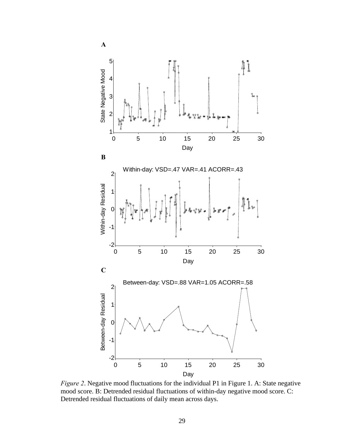

*Figure 2*. Negative mood fluctuations for the individual P1 in Figure 1. A: State negative mood score. B: Detrended residual fluctuations of within-day negative mood score. C: Detrended residual fluctuations of daily mean across days.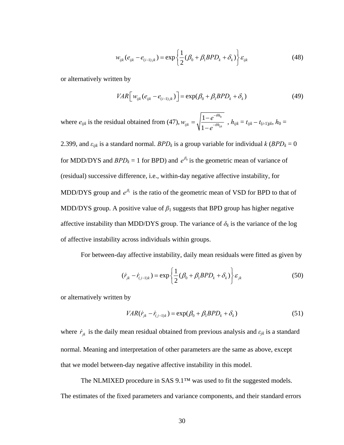$$
w_{ijk}(e_{ijk} - e_{(i-1)jk}) = \exp\left\{\frac{1}{2}(\beta_0 + \beta_1 BPD_k + \delta_k)\right\} \varepsilon_{ijk}
$$
 (48)

or alternatively written by

$$
VAR \left[ w_{ijk} (e_{ijk} - e_{(i-1)jk}) \right] = \exp(\beta_0 + \beta_1 BPD_k + \delta_k)
$$
\n(49)

where  $e_{ijk}$  is the residual obtained from [\(47\),](#page-30-0)  $w_{ijk} = \sqrt{\frac{1 - e^{-\theta h_0}}{1 - \frac{e^{-\theta h_0}}{1 - \theta h_0}}}$  $1-e^{-\theta h_{ijk}}$ *h*  $ijk = \lambda \vert n \vert - \theta h$  $w_{ijk} = \sqrt{\frac{1-e}{\epsilon}}$ *e* θ θ −  $=\sqrt{\frac{1-e^{-\theta h_{0}}}{1-e^{-\theta h_{ijk}}}}\;\; ,$   $h_{ijk}=t_{ijk}-t_{(i\text{-}1)jk}\text{,}\;h_{0}=0$ 

2.399, and  $\varepsilon_{ijk}$  is a standard normal. *BPD<sub>k</sub>* is a group variable for individual  $k$  (*BPD<sub>k</sub>* = 0 for MDD/DYS and  $BPD_k = 1$  for BPD) and  $e^{\beta_0}$  is the geometric mean of variance of (residual) successive difference, i.e., within-day negative affective instability, for MDD/DYS group and  $e^{\beta_1}$  is the ratio of the geometric mean of VSD for BPD to that of MDD/DYS group. A positive value of  $\beta_1$  suggests that BPD group has higher negative affective instability than MDD/DYS group. The variance of  $\delta_k$  is the variance of the log of affective instability across individuals within groups.

For between-day affective instability, daily mean residuals were fitted as given by

$$
(\dot{r}_{jk} - \dot{r}_{(j-1)k}) = \exp\left\{\frac{1}{2}(\beta_0 + \beta_1 BPD_k + \delta_k)\right\} \varepsilon_{jk}
$$
(50)

or alternatively written by

$$
VAR(r_{jk} - \dot{r}_{(j-1)k}) = \exp(\beta_0 + \beta_1 BPD_k + \delta_k)
$$
\n(51)

where  $\dot{r}_{jk}$  is the daily mean residual obtained from previous analysis and  $\varepsilon_{jk}$  is a standard normal. Meaning and interpretation of other parameters are the same as above, except that we model between-day negative affective instability in this model.

 The NLMIXED procedure in SAS 9.1™ was used to fit the suggested models. The estimates of the fixed parameters and variance components, and their standard errors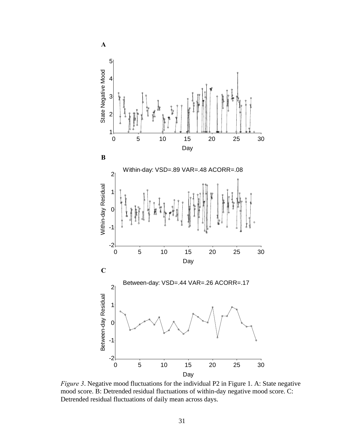

*Figure 3*. Negative mood fluctuations for the individual P2 in Figure 1. A: State negative mood score. B: Detrended residual fluctuations of within-day negative mood score. C: Detrended residual fluctuations of daily mean across days.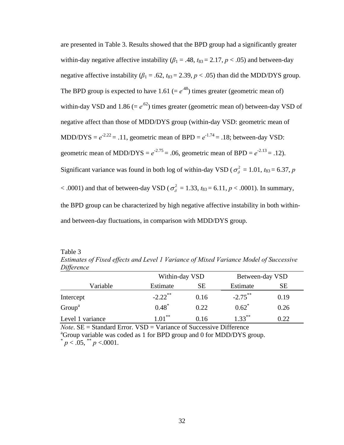are presented in Table 3. Results showed that the BPD group had a significantly greater within-day negative affective instability  $(\beta_1 = .48, t_{83} = 2.17, p < .05)$  and between-day negative affective instability ( $\beta_1 = .62$ ,  $t_{83} = 2.39$ ,  $p < .05$ ) than did the MDD/DYS group. The BPD group is expected to have 1.61 (=  $e^{.48}$ ) times greater (geometric mean of) within-day VSD and 1.86 ( $= e^{.62}$ ) times greater (geometric mean of) between-day VSD of negative affect than those of MDD/DYS group (within-day VSD: geometric mean of MDD/DYS =  $e^{-2.22}$  = .11, geometric mean of BPD =  $e^{-1.74}$  = .18; between-day VSD: geometric mean of MDD/DYS =  $e^{-2.75}$  = .06, geometric mean of BPD =  $e^{-2.13}$  = .12). Significant variance was found in both log of within-day VSD ( $\sigma_{\delta}^2 = 1.01$ ,  $t_{83} = 6.37$ , *p*  $< .0001$ ) and that of between-day VSD ( $\sigma_{\delta}^2 = 1.33$ ,  $t_{83} = 6.11$ ,  $p < .0001$ ). In summary, the BPD group can be characterized by high negative affective instability in both withinand between-day fluctuations, in comparison with MDD/DYS group.

Table 3

*Estimates of Fixed effects and Level 1 Variance of Mixed Variance Model of Successive Difference*

|                    | Within-day VSD        |           | Between-day VSD |      |  |
|--------------------|-----------------------|-----------|-----------------|------|--|
| Variable           | Estimate              | <b>SE</b> | Estimate        | SЕ   |  |
| Intercept          | $-2.22$ <sup>**</sup> | 0.16      | $-2.75$ **      | 0.19 |  |
| Group <sup>a</sup> | $0.48*$               | 0.22      | $0.62^*$        | 0.26 |  |
| Level 1 variance   | $1.01***$             | 0.16      | $1.33***$       | 0.22 |  |

*Note*.  $SE = Standard Error. VSD = Variance of Successive Difference$ <sup>a</sup>Group variable was coded as 1 for BPD group and 0 for MDD/DYS group.  $p < .05$ ,  $p < .0001$ .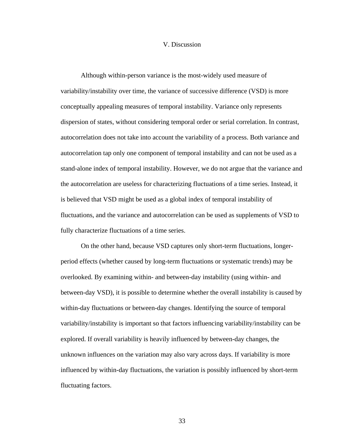#### V. Discussion

Although within-person variance is the most-widely used measure of variability/instability over time, the variance of successive difference (VSD) is more conceptually appealing measures of temporal instability. Variance only represents dispersion of states, without considering temporal order or serial correlation. In contrast, autocorrelation does not take into account the variability of a process. Both variance and autocorrelation tap only one component of temporal instability and can not be used as a stand-alone index of temporal instability. However, we do not argue that the variance and the autocorrelation are useless for characterizing fluctuations of a time series. Instead, it is believed that VSD might be used as a global index of temporal instability of fluctuations, and the variance and autocorrelation can be used as supplements of VSD to fully characterize fluctuations of a time series.

On the other hand, because VSD captures only short-term fluctuations, longerperiod effects (whether caused by long-term fluctuations or systematic trends) may be overlooked. By examining within- and between-day instability (using within- and between-day VSD), it is possible to determine whether the overall instability is caused by within-day fluctuations or between-day changes. Identifying the source of temporal variability/instability is important so that factors influencing variability/instability can be explored. If overall variability is heavily influenced by between-day changes, the unknown influences on the variation may also vary across days. If variability is more influenced by within-day fluctuations, the variation is possibly influenced by short-term fluctuating factors.

33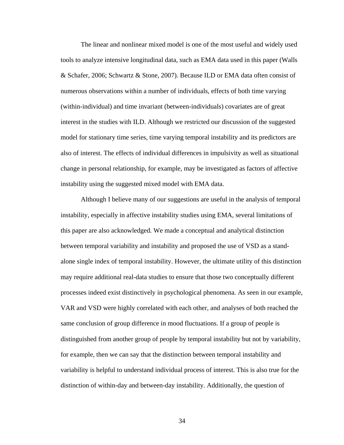The linear and nonlinear mixed model is one of the most useful and widely used tools to analyze intensive longitudinal data, such as EMA data used in this paper (Walls & Schafer, 2006; Schwartz & Stone, 2007). Because ILD or EMA data often consist of numerous observations within a number of individuals, effects of both time varying (within-individual) and time invariant (between-individuals) covariates are of great interest in the studies with ILD. Although we restricted our discussion of the suggested model for stationary time series, time varying temporal instability and its predictors are also of interest. The effects of individual differences in impulsivity as well as situational change in personal relationship, for example, may be investigated as factors of affective instability using the suggested mixed model with EMA data.

Although I believe many of our suggestions are useful in the analysis of temporal instability, especially in affective instability studies using EMA, several limitations of this paper are also acknowledged. We made a conceptual and analytical distinction between temporal variability and instability and proposed the use of VSD as a standalone single index of temporal instability. However, the ultimate utility of this distinction may require additional real-data studies to ensure that those two conceptually different processes indeed exist distinctively in psychological phenomena. As seen in our example, VAR and VSD were highly correlated with each other, and analyses of both reached the same conclusion of group difference in mood fluctuations. If a group of people is distinguished from another group of people by temporal instability but not by variability, for example, then we can say that the distinction between temporal instability and variability is helpful to understand individual process of interest. This is also true for the distinction of within-day and between-day instability. Additionally, the question of

34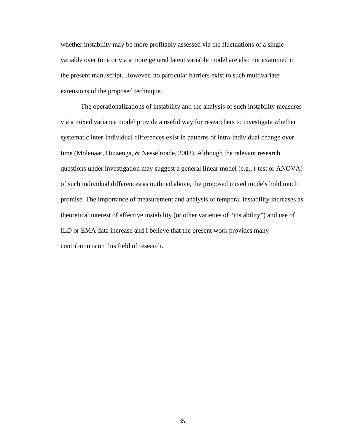whether instability may be more profitably assessed via the fluctuations of a single variable over time or via a more general latent variable model are also not examined in the present manuscript. However, no particular barriers exist to such multivariate extensions of the proposed technique.

The operationalizations of instability and the analysis of such instability measures via a mixed variance model provide a useful way for researchers to investigate whether systematic inter-individual differences exist in patterns of intra-individual change over time (Molenaar, Huizenga, & Nesselroade, 2003). Although the relevant research questions under investigation may suggest a general linear model (e.g., t-test or ANOVA) of such individual differences as outlined above, the proposed mixed models hold much promise. The importance of measurement and analysis of temporal instability increases as theoretical interest of affective instability (or other varieties of "instability") and use of ILD or EMA data increase and I believe that the present work provides many contributions on this field of research.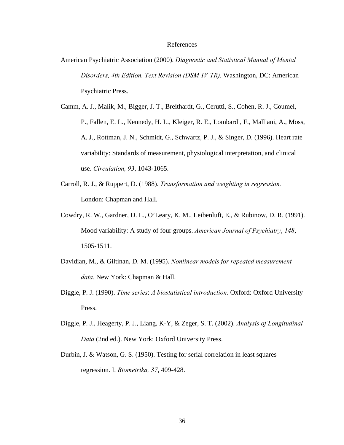#### References

- American Psychiatric Association (2000). *Diagnostic and Statistical Manual of Mental Disorders, 4th Edition, Text Revision (DSM-IV-TR).* Washington, DC: American Psychiatric Press.
- Camm, A. J., Malik, M., Bigger, J. T., Breithardt, G., Cerutti, S., Cohen, R. J., Coumel, P., Fallen, E. L., Kennedy, H. L., Kleiger, R. E., Lombardi, F., Malliani, A., Moss, A. J., Rottman, J. N., Schmidt, G., Schwartz, P. J., & Singer, D. (1996). Heart rate variability: Standards of measurement, physiological interpretation, and clinical use. *Circulation, 93*, 1043-1065.
- Carroll, R. J., & Ruppert, D. (1988). *Transformation and weighting in regression.* London: Chapman and Hall.
- Cowdry, R. W., Gardner, D. L., O'Leary, K. M., Leibenluft, E., & Rubinow, D. R. (1991). Mood variability: A study of four groups. *American Journal of Psychiatry*, *148*, 1505-1511.
- Davidian, M., & Giltinan, D. M. (1995). *Nonlinear models for repeated measurement data.* New York: Chapman & Hall.
- Diggle, P. J. (1990). *Time series*: *A biostatistical introduction*. Oxford: Oxford University Press.
- Diggle, P. J., Heagerty, P. J., Liang, K-Y, & Zeger, S. T. (2002). *Analysis of Longitudinal Data* (2nd ed.). New York: Oxford University Press.
- Durbin, J. & Watson, G. S. (1950). Testing for serial correlation in least squares regression. I. *Biometrika, 37*, 409-428.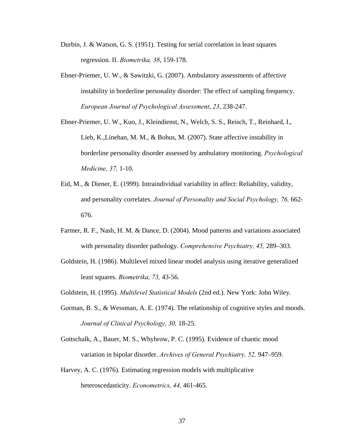- Durbin, J. & Watson, G. S. (1951). Testing for serial correlation in least squares regression. II. *Biometrika, 38*, 159-178.
- Ebner-Priemer, U. W., & Sawitzki, G. (2007). Ambulatory assessments of affective instability in borderline personality disorder: The effect of sampling frequency. *European Journal of Psychological Assessment*, *23*, 238-247.
- Ebner-Priemer, U. W., Kuo, J., Kleindienst, N., Welch, S. S., Reisch, T., Reinhard, I., Lieb, K.,Linehan, M. M., & Bohus, M. (2007). State affective instability in borderline personality disorder assessed by ambulatory monitoring. *Psychological Medicine, 37,* 1-10.
- Eid, M., & Diener, E. (1999). Intraindividual variability in affect: Reliability, validity, and personality correlates. *Journal of Personality and Social Psychology, 76,* 662- 676.
- Farmer, R. F., Nash, H. M. & Dance, D. (2004). Mood patterns and variations associated with personality disorder pathology. *Comprehensive Psychiatry, 45,* 289–303.
- Goldstein, H. (1986). Multilevel mixed linear model analysis using iterative generalized least squares. *Biometrika, 73,* 43-56.
- Goldstein, H. (1995). *Multilevel Statistical Models* (2nd ed.). New York: John Wiley.
- Gorman, B. S., & Wessman, A. E. (1974). The relationship of cognitive styles and moods. *Journal of Clinical Psychology, 30,* 18-25.
- Gottschalk, A., Bauer, M. S., Whybrow, P. C. (1995). Evidence of chaotic mood variation in bipolar disorder. *Archives of General Psychiatry, 52,* 947–959.
- Harvey, A. C. (1976). Estimating regression models with multiplicative heteroscedasticity. *Econometrics, 44,* 461-465.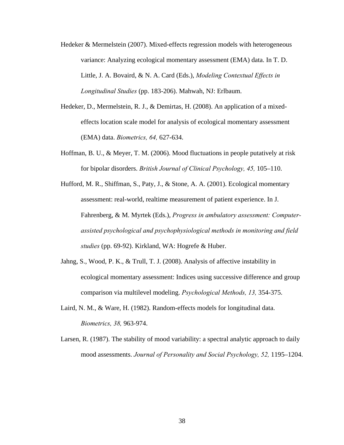- Hedeker & Mermelstein (2007). Mixed-effects regression models with heterogeneous variance: Analyzing ecological momentary assessment (EMA) data. In T. D. Little, J. A. Bovaird, & N. A. Card (Eds.), *Modeling Contextual Effects in Longitudinal Studies* (pp. 183-206). Mahwah, NJ: Erlbaum.
- Hedeker, D., Mermelstein, R. J., & Demirtas, H. (2008). An application of a mixedeffects location scale model for analysis of ecological momentary assessment (EMA) data. *Biometrics, 64,* 627-634.
- Hoffman, B. U., & Meyer, T. M. (2006). Mood fluctuations in people putatively at risk for bipolar disorders. *British Journal of Clinical Psychology, 45,* 105–110.
- Hufford, M. R., Shiffman, S., Paty, J., & Stone, A. A. (2001). Ecological momentary assessment: real-world, realtime measurement of patient experience. In J. Fahrenberg, & M. Myrtek (Eds.), *Progress in ambulatory assessment: Computerassisted psychological and psychophysiological methods in monitoring and field studies* (pp. 69-92). Kirkland, WA: Hogrefe & Huber.
- Jahng, S., Wood, P. K., & Trull, T. J. (2008). Analysis of affective instability in ecological momentary assessment: Indices using successive difference and group comparison via multilevel modeling. *Psychological Methods, 13,* 354-375.
- Laird, N. M., & Ware, H. (1982). Random-effects models for longitudinal data. *Biometrics, 38,* 963-974.
- Larsen, R. (1987). The stability of mood variability: a spectral analytic approach to daily mood assessments. *Journal of Personality and Social Psychology, 52,* 1195–1204.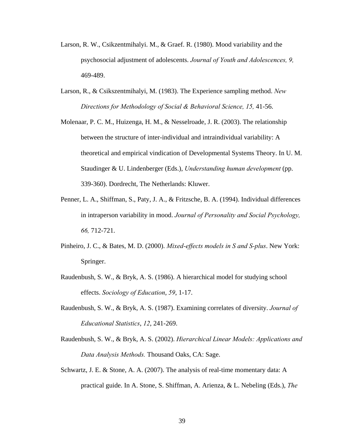- Larson, R. W., Csikzentmihalyi. M., & Graef. R. (1980). Mood variability and the psychosocial adjustment of adolescents. *Journal of Youth and Adolescences, 9,*  469-489.
- Larson, R., & Csikszentmihalyi, M. (1983). The Experience sampling method. *New Directions for Methodology of Social & Behavioral Science, 15,* 41-56.
- Molenaar, P. C. M., Huizenga, H. M., & Nesselroade, J. R. (2003). The relationship between the structure of inter-individual and intraindividual variability: A theoretical and empirical vindication of Developmental Systems Theory. In U. M. Staudinger & U. Lindenberger (Eds.), *Understanding human development* (pp. 339-360). Dordrecht, The Netherlands: Kluwer.
- Penner, L. A., Shiffman, S., Paty, J. A., & Fritzsche, B. A. (1994). Individual differences in intraperson variability in mood. *Journal of Personality and Social Psychology, 66,* 712-721.
- Pinheiro, J. C., & Bates, M. D. (2000). *Mixed-effects models in S and S-plus*. New York: Springer.
- Raudenbush, S. W., & Bryk, A. S. (1986). A hierarchical model for studying school effects. *Sociology of Education*, *59*, 1-17.
- Raudenbush, S. W., & Bryk, A. S. (1987). Examining correlates of diversity. *Journal of Educational Statistics*, *12*, 241-269.
- Raudenbush, S. W., & Bryk, A. S. (2002). *Hierarchical Linear Models: Applications and Data Analysis Methods.* Thousand Oaks, CA: Sage.
- Schwartz, J. E. & Stone, A. A. (2007). The analysis of real-time momentary data: A practical guide. In A. Stone, S. Shiffman, A. Arienza, & L. Nebeling (Eds.), *The*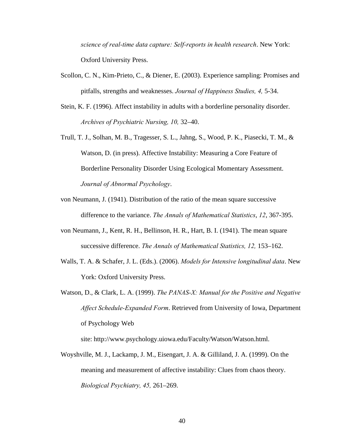*science of real-time data capture: Self-reports in health research*. New York: Oxford University Press.

- Scollon, C. N., Kim-Prieto, C., & Diener, E. (2003). Experience sampling: Promises and pitfalls, strengths and weaknesses. *Journal of Happiness Studies, 4,* 5-34.
- Stein, K. F. (1996). Affect instability in adults with a borderline personality disorder. *Archives of Psychiatric Nursing, 10,* 32–40.
- Trull, T. J., Solhan, M. B., Tragesser, S. L., Jahng, S., Wood, P. K., Piasecki, T. M., & Watson, D. (in press). Affective Instability: Measuring a Core Feature of Borderline Personality Disorder Using Ecological Momentary Assessment. *Journal of Abnormal Psychology*.
- von Neumann, J. (1941). Distribution of the ratio of the mean square successive difference to the variance. *The Annals of Mathematical Statistics*, *12*, 367-395.
- von Neumann, J., Kent, R. H., Bellinson, H. R., Hart, B. I. (1941). The mean square successive difference. *The Annals of Mathematical Statistics, 12,* 153–162.
- Walls, T. A. & Schafer, J. L. (Eds.). (2006). *Models for Intensive longitudinal data*. New York: Oxford University Press.
- Watson, D., & Clark, L. A. (1999). *The PANAS-X: Manual for the Positive and Negative Affect Schedule-Expanded Form*. Retrieved from University of Iowa, Department of Psychology Web

site: [http://www.psychology.uiowa.edu/Faculty/Watson/Watson.ht](http://www.psychology.uiowa.edu/Faculty/Watson/Watson.html)ml.

Woyshville, M. J., Lackamp, J. M., Eisengart, J. A. & Gilliland, J. A. (1999). On the meaning and measurement of affective instability: Clues from chaos theory. *Biological Psychiatry, 45,* 261–269.